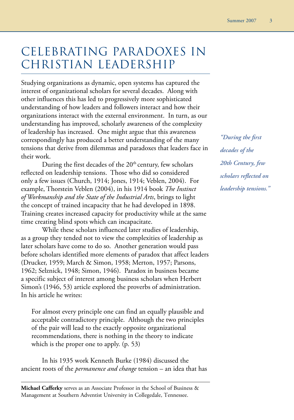# CELEBRATING PARADOXES IN CHRISTIAN LEADERSHIP

Studying organizations as dynamic, open systems has captured the interest of organizational scholars for several decades. Along with other influences this has led to progressively more sophisticated understanding of how leaders and followers interact and how their organizations interact with the external environment. In turn, as our understanding has improved, scholarly awareness of the complexity of leadership has increased. One might argue that this awareness correspondingly has produced a better understanding of the many tensions that derive from dilemmas and paradoxes that leaders face in their work.

During the first decades of the  $20<sup>th</sup>$  century, few scholars reflected on leadership tensions. Those who did so considered only a few issues (Church, 1914; Jones, 1914; Veblen, 2004). For example, Thorstein Veblen (2004), in his 1914 book *The Instinct of Workmanship and the State of the Industrial Arts*, brings to light the concept of trained incapacity that he had developed in 1898. Training creates increased capacity for productivity while at the same time creating blind spots which can incapacitate.

While these scholars influenced later studies of leadership, as a group they tended not to view the complexities of leadership as later scholars have come to do so. Another generation would pass before scholars identified more elements of paradox that affect leaders (Drucker, 1959; March & Simon, 1958; Merton, 1957; Parsons, 1962; Selznick, 1948; Simon, 1946). Paradox in business became a specific subject of interest among business scholars when Herbert Simon's (1946, 53) article explored the proverbs of administration. In his article he writes:

For almost every principle one can find an equally plausible and acceptable contradictory principle. Although the two principles of the pair will lead to the exactly opposite organizational recommendations, there is nothing in the theory to indicate which is the proper one to apply. (p. 53)

In his 1935 work Kenneth Burke (1984) discussed the ancient roots of the *permanence and change* tension – an idea that has

**Michael Cafferky** serves as an Associate Professor in the School of Business & Management at Southern Adventist University in Collegedale, Tennessee.

*"During the first decades of the 20th Century, few scholars reflected on leadership tensions."*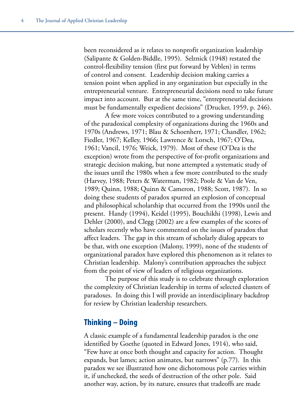been reconsidered as it relates to nonprofit organization leadership (Salipante & Golden-Biddle, 1995). Selznick (1948) restated the control-flexibility tension (first put forward by Veblen) in terms of control and consent. Leadership decision making carries a tension point when applied in any organization but especially in the entrepreneurial venture. Entrepreneurial decisions need to take future impact into account. But at the same time, "entrepreneurial decisions must be fundamentally expedient decisions" (Drucker, 1959, p. 246).

A few more voices contributed to a growing understanding of the paradoxical complexity of organizations during the 1960s and 1970s (Andrews, 1971; Blau & Schoenherr, 1971; Chandler, 1962; Fiedler, 1967; Kelley, 1966; Lawrence & Lorsch, 1967; O'Dea, 1961; Vancil, 1976; Weick, 1979). Most of these (O'Dea is the exception) wrote from the perspective of for-profit organizations and strategic decision making, but none attempted a systematic study of the issues until the 1980s when a few more contributed to the study (Harvey, 1988; Peters & Waterman, 1982; Poole & Van de Ven, 1989; Quinn, 1988; Quinn & Cameron, 1988; Scott, 1987). In so doing these students of paradox spurred an explosion of conceptual and philosophical scholarship that occurred from the 1990s until the present. Handy (1994), Keidel (1995), Bouchikhi (1998), Lewis and Dehler (2000), and Clegg (2002) are a few examples of the scores of scholars recently who have commented on the issues of paradox that affect leaders. The gap in this stream of scholarly dialog appears to be that, with one exception (Malony, 1999), none of the students of organizational paradox have explored this phenomenon as it relates to Christian leadership. Malony's contribution approaches the subject from the point of view of leaders of religious organizations.

The purpose of this study is to celebrate through exploration the complexity of Christian leadership in terms of selected clusters of paradoxes. In doing this I will provide an interdisciplinary backdrop for review by Christian leadership researchers.

## **Thinking – Doing**

A classic example of a fundamental leadership paradox is the one identified by Goethe (quoted in Edward Jones, 1914), who said, "Few have at once both thought and capacity for action. Thought expands, but lames; action animates, but narrows" (p.77). In this paradox we see illustrated how one dichotomous pole carries within it, if unchecked, the seeds of destruction of the other pole. Said another way, action, by its nature, ensures that tradeoffs are made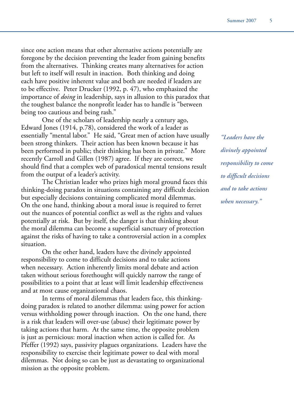since one action means that other alternative actions potentially are foregone by the decision preventing the leader from gaining benefits from the alternatives. Thinking creates many alternatives for action but left to itself will result in inaction. Both thinking and doing each have positive inherent value and both are needed if leaders are to be effective. Peter Drucker (1992, p. 47), who emphasized the importance of *doing* in leadership, says in allusion to this paradox that the toughest balance the nonprofit leader has to handle is "between being too cautious and being rash."

One of the scholars of leadership nearly a century ago, Edward Jones (1914, p.78), considered the work of a leader as essentially "mental labor." He said, "Great men of action have usually been strong thinkers. Their action has been known because it has been performed in public; their thinking has been in private." More recently Carroll and Gillen (1987) agree. If they are correct, we should find that a complex web of paradoxical mental tensions result from the output of a leader's activity.

The Christian leader who prizes high moral ground faces this thinking-doing paradox in situations containing any difficult decision but especially decisions containing complicated moral dilemmas. On the one hand, thinking about a moral issue is required to ferret out the nuances of potential conflict as well as the rights and values potentially at risk. But by itself, the danger is that thinking about the moral dilemma can become a superficial sanctuary of protection against the risks of having to take a controversial action in a complex situation.

On the other hand, leaders have the divinely appointed responsibility to come to difficult decisions and to take actions when necessary. Action inherently limits moral debate and action taken without serious forethought will quickly narrow the range of possibilities to a point that at least will limit leadership effectiveness and at most cause organizational chaos.

In terms of moral dilemmas that leaders face, this thinkingdoing paradox is related to another dilemma: using power for action versus withholding power through inaction. On the one hand, there is a risk that leaders will over-use (abuse) their legitimate power by taking actions that harm. At the same time, the opposite problem is just as pernicious: moral inaction when action is called for. As Pfeffer (1992) says, passivity plagues organizations. Leaders have the responsibility to exercise their legitimate power to deal with moral dilemmas. Not doing so can be just as devastating to organizational mission as the opposite problem.

*"Leaders have the divinely appointed responsibility to come to difficult decisions and to take actions when necessary."*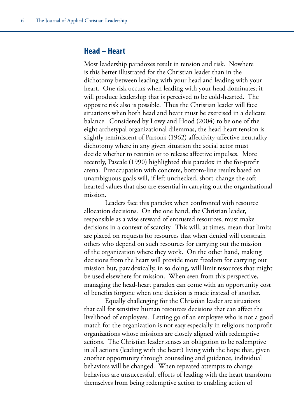#### **Head – Heart**

Most leadership paradoxes result in tension and risk. Nowhere is this better illustrated for the Christian leader than in the dichotomy between leading with your head and leading with your heart. One risk occurs when leading with your head dominates; it will produce leadership that is perceived to be cold-hearted. The opposite risk also is possible. Thus the Christian leader will face situations when both head and heart must be exercised in a delicate balance. Considered by Lowy and Hood (2004) to be one of the eight archetypal organizational dilemmas, the head-heart tension is slightly reminiscent of Parson's (1962) affectivity-affective neutrality dichotomy where in any given situation the social actor must decide whether to restrain or to release affective impulses. More recently, Pascale (1990) highlighted this paradox in the for-profit arena. Preoccupation with concrete, bottom-line results based on unambiguous goals will, if left unchecked, short-change the softhearted values that also are essential in carrying out the organizational mission.

Leaders face this paradox when confronted with resource allocation decisions. On the one hand, the Christian leader, responsible as a wise steward of entrusted resources, must make decisions in a context of scarcity. This will, at times, mean that limits are placed on requests for resources that when denied will constrain others who depend on such resources for carrying out the mission of the organization where they work. On the other hand, making decisions from the heart will provide more freedom for carrying out mission but, paradoxically, in so doing, will limit resources that might be used elsewhere for mission. When seen from this perspective, managing the head-heart paradox can come with an opportunity cost of benefits forgone when one decision is made instead of another.

Equally challenging for the Christian leader are situations that call for sensitive human resources decisions that can affect the livelihood of employees. Letting go of an employee who is not a good match for the organization is not easy especially in religious nonprofit organizations whose missions are closely aligned with redemptive actions. The Christian leader senses an obligation to be redemptive in all actions (leading with the heart) living with the hope that, given another opportunity through counseling and guidance, individual behaviors will be changed. When repeated attempts to change behaviors are unsuccessful, efforts of leading with the heart transform themselves from being redemptive action to enabling action of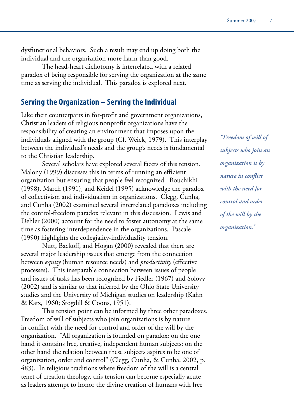dysfunctional behaviors. Such a result may end up doing both the individual and the organization more harm than good.

The head-heart dichotomy is interrelated with a related paradox of being responsible for serving the organization at the same time as serving the individual. This paradox is explored next.

#### **Serving the Organization – Serving the Individual**

Like their counterparts in for-profit and government organizations, Christian leaders of religious nonprofit organizations have the responsibility of creating an environment that imposes upon the individuals aligned with the group (Cf. Weick, 1979). This interplay between the individual's needs and the group's needs is fundamental to the Christian leadership.

Several scholars have explored several facets of this tension. Malony (1999) discusses this in terms of running an efficient organization but ensuring that people feel recognized. Bouchikhi (1998), March (1991), and Keidel (1995) acknowledge the paradox of collectivism and individualism in organizations. Clegg, Cunha, and Cunha (2002) examined several interrelated paradoxes including the control-freedom paradox relevant in this discussion. Lewis and Dehler (2000) account for the need to foster autonomy at the same time as fostering interdependence in the organizations. Pascale (1990) highlights the collegiality-individuality tension.

Nutt, Backoff, and Hogan (2000) revealed that there are several major leadership issues that emerge from the connection between *equity* (human resource needs) and *productivity* (effective processes). This inseparable connection between issues of people and issues of tasks has been recognized by Fiedler (1967) and Solovy (2002) and is similar to that inferred by the Ohio State University studies and the University of Michigan studies on leadership (Kahn & Katz, 1960; Stogdill & Coons, 1951).

This tension point can be informed by three other paradoxes. Freedom of will of subjects who join organizations is by nature in conflict with the need for control and order of the will by the organization. "All organization is founded on paradox: on the one hand it contains free, creative, independent human subjects; on the other hand the relation between these subjects aspires to be one of organization, order and control" (Clegg, Cunha, & Cunha, 2002, p. 483). In religious traditions where freedom of the will is a central tenet of creation theology, this tension can become especially acute as leaders attempt to honor the divine creation of humans with free

*"Freedom of will of subjects who join an organization is by nature in conflict with the need for control and order of the will by the organization."*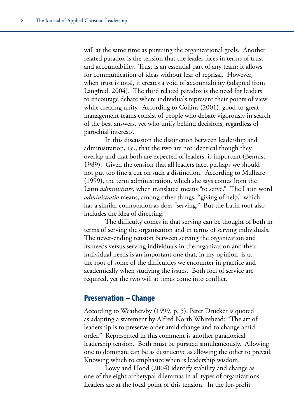will at the same time as pursuing the organizational goals. Another related paradox is the tension that the leader faces in terms of trust and accountability. Trust is an essential part of any team; it allows for communication of ideas without fear of reprisal. However, when trust is total, it creates a void of accountability (adapted from Langfred, 2004). The third related paradox is the need for leaders to encourage debate where individuals represent their points of view while creating unity. According to Collins (2001), good-to-great management teams consist of people who debate vigorously in search of the best answers, yet who unify behind decisions, regardless of parochial interests.

In this discussion the distinction between leadership and administration, i.e., that the two are not identical though they overlap and that both are expected of leaders, is important (Bennis, 1989). Given the tension that all leaders face, perhaps we should not put too fine a cut on such a distinction. According to Mulhare (1999), the term administration, which she says comes from the Latin *administrare,* when translated means "to serve." The Latin word *administratio* means, among other things, **"**giving of help," which has a similar connotation as does "serving." But the Latin root also includes the idea of directing.

The difficulty comes in that serving can be thought of both in terms of serving the organization and in terms of serving individuals. The never-ending tension between serving the organization and its needs versus serving individuals in the organization and their individual needs is an important one that, in my opinion, is at the root of some of the difficulties we encounter in practice and academically when studying the issues. Both foci of service are required, yet the two will at times come into conflict.

## **Preservation – Change**

According to Weathersby (1999, p. 5), Peter Drucker is quoted as adapting a statement by Alfred North Whitehead: "The art of leadership is to preserve order amid change and to change amid order." Represented in this comment is another paradoxical leadership tension. Both must be pursued simultaneously. Allowing one to dominate can be as destructive as allowing the other to prevail. Knowing which to emphasize when is leadership wisdom.

Lowy and Hood (2004) identify stability and change as one of the eight archetypal dilemmas in all types of organizations. Leaders are at the focal point of this tension. In the for-profit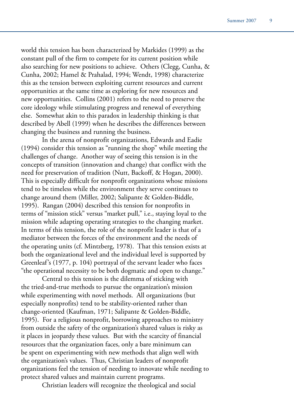world this tension has been characterized by Markides (1999) as the constant pull of the firm to compete for its current position while also searching for new positions to achieve. Others (Clegg, Cunha, & Cunha, 2002; Hamel & Prahalad, 1994; Wendt, 1998) characterize this as the tension between exploiting current resources and current opportunities at the same time as exploring for new resources and new opportunities. Collins (2001) refers to the need to preserve the core ideology while stimulating progress and renewal of everything else. Somewhat akin to this paradox in leadership thinking is that described by Abell (1999) when he describes the differences between changing the business and running the business.

In the arena of nonprofit organizations, Edwards and Eadie (1994) consider this tension as "running the shop" while meeting the challenges of change. Another way of seeing this tension is in the concepts of transition (innovation and change) that conflict with the need for preservation of tradition (Nutt, Backoff, & Hogan, 2000). This is especially difficult for nonprofit organizations whose missions tend to be timeless while the environment they serve continues to change around them (Miller, 2002; Salipante & Golden-Biddle, 1995). Rangan (2004) described this tension for nonprofits in terms of "mission stick" versus "market pull," i.e., staying loyal to the mission while adapting operating strategies to the changing market. In terms of this tension, the role of the nonprofit leader is that of a mediator between the forces of the environment and the needs of the operating units (cf. Mintzberg, 1978). That this tension exists at both the organizational level and the individual level is supported by Greenleaf's (1977, p. 104) portrayal of the servant leader who faces "the operational necessity to be both dogmatic and open to change."

Central to this tension is the dilemma of sticking with the tried-and-true methods to pursue the organization's mission while experimenting with novel methods. All organizations (but especially nonprofits) tend to be stability-oriented rather than change-oriented (Kaufman, 1971; Salipante & Golden-Biddle, 1995). For a religious nonprofit, borrowing approaches to ministry from outside the safety of the organization's shared values is risky as it places in jeopardy these values. But with the scarcity of financial resources that the organization faces, only a bare minimum can be spent on experimenting with new methods that align well with the organization's values. Thus, Christian leaders of nonprofit organizations feel the tension of needing to innovate while needing to protect shared values and maintain current programs.

Christian leaders will recognize the theological and social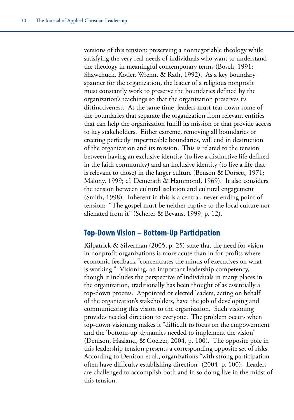versions of this tension: preserving a nonnegotiable theology while satisfying the very real needs of individuals who want to understand the theology in meaningful contemporary terms (Bosch, 1991; Shawchuck, Kotler, Wrenn, & Rath, 1992). As a key boundary spanner for the organization, the leader of a religious nonprofit must constantly work to preserve the boundaries defined by the organization's teachings so that the organization preserves its distinctiveness. At the same time, leaders must tear down some of the boundaries that separate the organization from relevant entities that can help the organization fulfill its mission or that provide access to key stakeholders. Either extreme, removing all boundaries or erecting perfectly impermeable boundaries, will end in destruction of the organization and its mission. This is related to the tension between having an exclusive identity (to live a distinctive life defined in the faith community) and an inclusive identity (to live a life that is relevant to those) in the larger culture (Benson & Dorsett, 1971; Malony, 1999; cf. Demerath & Hammond, 1969). It also considers the tension between cultural isolation and cultural engagement (Smith, 1998). Inherent in this is a central, never-ending point of tension: "The gospel must be neither captive to the local culture nor alienated from it" (Scherer & Bevans, 1999, p. 12).

# **Top-Down Vision – Bottom-Up Participation**

Kilpatrick & Silverman (2005, p. 25) state that the need for vision in nonprofit organizations is more acute than in for-profits where economic feedback "concentrates the minds of executives on what is working." Visioning, an important leadership competency, though it includes the perspective of individuals in many places in the organization, traditionally has been thought of as essentially a top-down process. Appointed or elected leaders, acting on behalf of the organization's stakeholders, have the job of developing and communicating this vision to the organization. Such visioning provides needed direction to everyone. The problem occurs when top-down visioning makes it "difficult to focus on the empowerment and the 'bottom-up' dynamics needed to implement the vision" (Denison, Haaland, & Goelzer, 2004, p. 100). The opposite pole in this leadership tension presents a corresponding opposite set of risks. According to Denison et al., organizations "with strong participation often have difficulty establishing direction" (2004, p. 100). Leaders are challenged to accomplish both and in so doing live in the midst of this tension.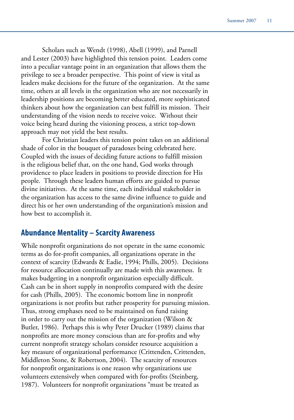Scholars such as Wendt (1998), Abell (1999), and Parnell and Lester (2003) have highlighted this tension point. Leaders come into a peculiar vantage point in an organization that allows them the privilege to see a broader perspective. This point of view is vital as leaders make decisions for the future of the organization. At the same time, others at all levels in the organization who are not necessarily in leadership positions are becoming better educated, more sophisticated thinkers about how the organization can best fulfill its mission. Their understanding of the vision needs to receive voice. Without their voice being heard during the visioning process, a strict top-down approach may not yield the best results.

For Christian leaders this tension point takes on an additional shade of color in the bouquet of paradoxes being celebrated here. Coupled with the issues of deciding future actions to fulfill mission is the religious belief that, on the one hand, God works through providence to place leaders in positions to provide direction for His people. Through these leaders human efforts are guided to pursue divine initiatives. At the same time, each individual stakeholder in the organization has access to the same divine influence to guide and direct his or her own understanding of the organization's mission and how best to accomplish it.

# **Abundance Mentality – Scarcity Awareness**

While nonprofit organizations do not operate in the same economic terms as do for-profit companies, all organizations operate in the context of scarcity (Edwards & Eadie, 1994; Phills, 2005). Decisions for resource allocation continually are made with this awareness. It makes budgeting in a nonprofit organization especially difficult. Cash can be in short supply in nonprofits compared with the desire for cash (Phills, 2005). The economic bottom line in nonprofit organizations is not profits but rather prosperity for pursuing mission. Thus, strong emphases need to be maintained on fund raising in order to carry out the mission of the organization (Wilson & Butler, 1986). Perhaps this is why Peter Drucker (1989) claims that nonprofits are more money conscious than are for-profits and why current nonprofit strategy scholars consider resource acquisition a key measure of organizational performance (Crittenden, Crittenden, Middleton Stone, & Robertson, 2004). The scarcity of resources for nonprofit organizations is one reason why organizations use volunteers extensively when compared with for-profits (Steinberg, 1987). Volunteers for nonprofit organizations "must be treated as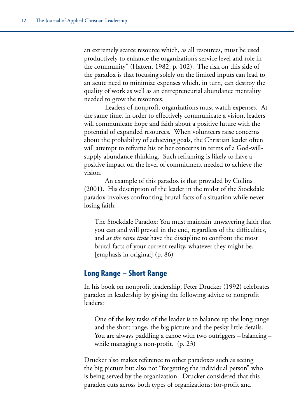an extremely scarce resource which, as all resources, must be used productively to enhance the organization's service level and role in the community" (Hatten, 1982, p. 102). The risk on this side of the paradox is that focusing solely on the limited inputs can lead to an acute need to minimize expenses which, in turn, can destroy the quality of work as well as an entrepreneurial abundance mentality needed to grow the resources.

Leaders of nonprofit organizations must watch expenses. At the same time, in order to effectively communicate a vision, leaders will communicate hope and faith about a positive future with the potential of expanded resources. When volunteers raise concerns about the probability of achieving goals, the Christian leader often will attempt to reframe his or her concerns in terms of a God-willsupply abundance thinking. Such reframing is likely to have a positive impact on the level of commitment needed to achieve the vision.

An example of this paradox is that provided by Collins (2001). His description of the leader in the midst of the Stockdale paradox involves confronting brutal facts of a situation while never losing faith:

The Stockdale Paradox: You must maintain unwavering faith that you can and will prevail in the end, regardless of the difficulties, and *at the same time* have the discipline to confront the most brutal facts of your current reality, whatever they might be. [emphasis in original] (p. 86)

# **Long Range – Short Range**

In his book on nonprofit leadership, Peter Drucker (1992) celebrates paradox in leadership by giving the following advice to nonprofit leaders:

One of the key tasks of the leader is to balance up the long range and the short range, the big picture and the pesky little details. You are always paddling a canoe with two outriggers – balancing – while managing a non-profit. (p. 23)

Drucker also makes reference to other paradoxes such as seeing the big picture but also not "forgetting the individual person" who is being served by the organization. Drucker considered that this paradox cuts across both types of organizations: for-profit and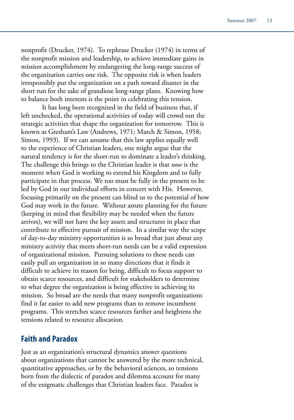nonprofit (Drucker, 1974). To rephrase Drucker (1974) in terms of the nonprofit mission and leadership, to achieve immediate gains in mission accomplishment by endangering the long-range success of the organization carries one risk. The opposite risk is when leaders irresponsibly put the organization on a path toward disaster in the short run for the sake of grandiose long-range plans. Knowing how to balance both interests is the point in celebrating this tension.

It has long been recognized in the field of business that, if left unchecked, the operational activities of today will crowd out the strategic activities that shape the organization for tomorrow. This is known as Gresham's Law (Andrews, 1971; March & Simon, 1958; Simon, 1993). If we can assume that this law applies equally well to the experience of Christian leaders, one might argue that the natural tendency is for the short-run to dominate a leader's thinking. The challenge this brings to the Christian leader is that *now* is the moment when God is working to extend his Kingdom and to fully participate in that process. We too must be fully in the present to be led by God in our individual efforts in concert with His. However, focusing primarily on the present can blind us to the potential of how God may work in the future. Without astute planning for the future (keeping in mind that flexibility may be needed when the future arrives), we will not have the key assets and structures in place that contribute to effective pursuit of mission. In a similar way the scope of day-to-day ministry opportunities is so broad that just about any ministry activity that meets short-run needs can be a valid expression of organizational mission. Pursuing solutions to these needs can easily pull an organization in so many directions that it finds it difficult to achieve its reason for being, difficult to focus support to obtain scarce resources, and difficult for stakeholders to determine to what degree the organization is being effective in achieving its mission. So broad are the needs that many nonprofit organizations find it far easier to add new programs than to remove incumbent programs. This stretches scarce resources farther and heightens the tensions related to resource allocation.

## **Faith and Paradox**

Just as an organization's structural dynamics answer questions about organizations that cannot be answered by the more technical, quantitative approaches, or by the behavioral sciences, so tensions born from the dialectic of paradox and dilemma account for many of the enigmatic challenges that Christian leaders face. Paradox is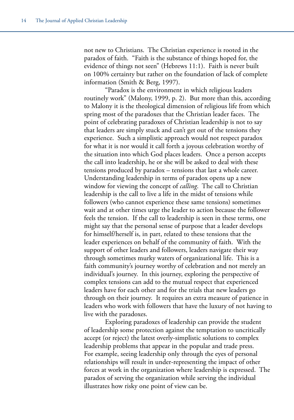not new to Christians. The Christian experience is rooted in the paradox of faith. "Faith is the substance of things hoped for, the evidence of things not seen" (Hebrews 11:1). Faith is never built on 100% certainty but rather on the foundation of lack of complete information (Smith & Berg, 1997).

"Paradox is the environment in which religious leaders routinely work" (Malony, 1999, p. 2). But more than this, according to Malony it is the theological dimension of religious life from which spring most of the paradoxes that the Christian leader faces. The point of celebrating paradoxes of Christian leadership is not to say that leaders are simply stuck and can't get out of the tensions they experience. Such a simplistic approach would not respect paradox for what it is nor would it call forth a joyous celebration worthy of the situation into which God places leaders. Once a person accepts the call into leadership, he or she will be asked to deal with these tensions produced by paradox – tensions that last a whole career. Understanding leadership in terms of paradox opens up a new window for viewing the concept of *calling*. The call to Christian leadership is the call to live a life in the midst of tensions while followers (who cannot experience these same tensions) sometimes wait and at other times urge the leader to action because the follower feels the tension. If the call to leadership is seen in these terms, one might say that the personal sense of purpose that a leader develops for himself/herself is, in part, related to these tensions that the leader experiences on behalf of the community of faith. With the support of other leaders and followers, leaders navigate their way through sometimes murky waters of organizational life. This is a faith community's journey worthy of celebration and not merely an individual's journey. In this journey, exploring the perspective of complex tensions can add to the mutual respect that experienced leaders have for each other and for the trials that new leaders go through on their journey. It requires an extra measure of patience in leaders who work with followers that have the luxury of not having to live with the paradoxes.

Exploring paradoxes of leadership can provide the student of leadership some protection against the temptation to uncritically accept (or reject) the latest overly-simplistic solutions to complex leadership problems that appear in the popular and trade press. For example, seeing leadership only through the eyes of personal relationships will result in under-representing the impact of other forces at work in the organization where leadership is expressed. The paradox of serving the organization while serving the individual illustrates how risky one point of view can be.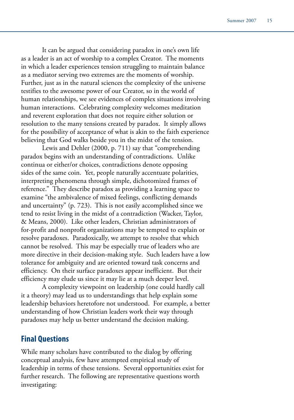It can be argued that considering paradox in one's own life as a leader is an act of worship to a complex Creator. The moments in which a leader experiences tension struggling to maintain balance as a mediator serving two extremes are the moments of worship. Further, just as in the natural sciences the complexity of the universe testifies to the awesome power of our Creator, so in the world of human relationships, we see evidences of complex situations involving human interactions. Celebrating complexity welcomes meditation and reverent exploration that does not require either solution or resolution to the many tensions created by paradox. It simply allows for the possibility of acceptance of what is akin to the faith experience believing that God walks beside you in the midst of the tension.

Lewis and Dehler (2000, p. 711) say that "comprehending paradox begins with an understanding of contradictions. Unlike continua or either/or choices, contradictions denote opposing sides of the same coin. Yet, people naturally accentuate polarities, interpreting phenomena through simple, dichotomized frames of reference." They describe paradox as providing a learning space to examine "the ambivalence of mixed feelings, conflicting demands and uncertainty" (p. 723). This is not easily accomplished since we tend to resist living in the midst of a contradiction (Wacker, Taylor, & Means, 2000). Like other leaders, Christian administrators of for-profit and nonprofit organizations may be tempted to explain or resolve paradoxes. Paradoxically, we attempt to resolve that which cannot be resolved. This may be especially true of leaders who are more directive in their decision-making style. Such leaders have a low tolerance for ambiguity and are oriented toward task concerns and efficiency. On their surface paradoxes appear inefficient. But their efficiency may elude us since it may lie at a much deeper level.

A complexity viewpoint on leadership (one could hardly call it a theory) may lead us to understandings that help explain some leadership behaviors heretofore not understood. For example, a better understanding of how Christian leaders work their way through paradoxes may help us better understand the decision making.

## **Final Questions**

While many scholars have contributed to the dialog by offering conceptual analysis, few have attempted empirical study of leadership in terms of these tensions. Several opportunities exist for further research. The following are representative questions worth investigating: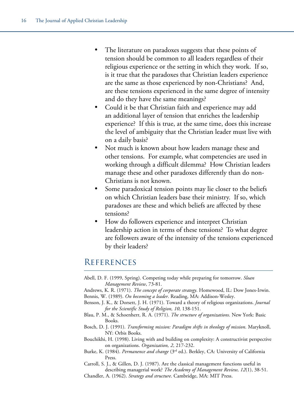- The literature on paradoxes suggests that these points of tension should be common to all leaders regardless of their religious experience or the setting in which they work. If so, is it true that the paradoxes that Christian leaders experience are the same as those experienced by non-Christians? And, are these tensions experienced in the same degree of intensity and do they have the same meanings?
- • Could it be that Christian faith and experience may add an additional layer of tension that enriches the leadership experience? If this is true, at the same time, does this increase the level of ambiguity that the Christian leader must live with on a daily basis?
- Not much is known about how leaders manage these and other tensions. For example, what competencies are used in working through a difficult dilemma? How Christian leaders manage these and other paradoxes differently than do non-Christians is not known.
- Some paradoxical tension points may lie closer to the beliefs on which Christian leaders base their ministry. If so, which paradoxes are these and which beliefs are affected by these tensions?
- How do followers experience and interpret Christian leadership action in terms of these tensions? To what degree are followers aware of the intensity of the tensions experienced by their leaders?

# **REFERENCES**

- Abell, D. F. (1999, Spring). Competing today while preparing for tomorrow. *Sloan Management Review*, 73-81.
- Andrews, K. R. (1971). *The concept of corporate strategy*. Homewood, IL: Dow Jones-Irwin. Bennis, W. (1989). *On becoming a leader*. Reading, MA: Addison-Wesley.
- Benson, J. K., & Dorsett, J. H. (1971). Toward a theory of religious organizations. *Journal for the Scientific Study of Religion, 10*, 138-151.
- Blau, P. M., & Schoenherr, R. A. (1971). *The structure of organizations*. New York: Basic Books.
- Bosch, D. J. (1991). *Transforming mission: Paradigm shifts in theology of mission*. Maryknoll, NY: Orbis Books.
- Bouchikhi, H. (1998). Living with and building on complexity: A constructivist perspective on organizations. *Organization, 2*, 217-232.
- Burke, K. (1984). *Permanence and change* (3rd ed.). Berkley, CA: University of California Press.
- Carroll, S. J., & Gillen, D. J. (1987). Are the classical management functions useful in describing managerial work? *The Academy of Management Review, 12*(1), 38-51.
- Chandler, A. (1962). *Strategy and structure*. Cambridge, MA: MIT Press.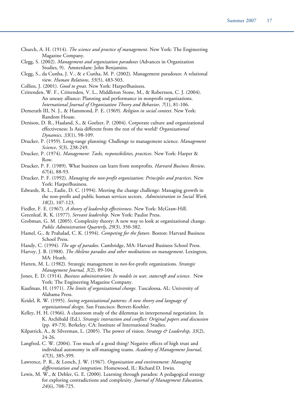| Church, A. H. (1914). <i>The science and practice of management</i> . New York: The Engineering |  |  |  |
|-------------------------------------------------------------------------------------------------|--|--|--|
| Magazine Company.                                                                               |  |  |  |

- Clegg, S. (2002). *Management and organization paradoxes* (Advances in Organization Studies, 9). Amsterdam: John Benjamins.
- Clegg, S., da Cunha, J. V., & e Cunha, M. P. (2002). Management paradoxes: A relational view. *Human Relations, 55*(5), 483-503.
- Collins, J. (2001). *Good to great*. New York: HarperBusiness.
- Crittenden, W. F., Crittenden, V. L., Middleton Stone, M., & Robertson, C. J. (2004). An uneasy alliance: Planning and performance in nonprofit organizations. *International Journal of Organization Theory and Behavior, 7*(1), 81-106.
- Demerath III, N. J., & Hammond, P. E. (1969). *Religion in social context*. New York: Random House.
- Denison, D. R., Haaland, S., & Goelzer, P. (2004). Corporate culture and organizational effectiveness: Is Asia different from the rest of the world? *Organizational Dynamics, 33*(1), 98-109.
- Drucker, P. (1959). Long-range planning: Challenge to management science. *Management Science*, *5*(3), 238-249.
- Drucker, P. (1974). *Management: Tasks, responsibilities, practices*. New York: Harper & Row.
- Drucker, P. F. (1989). What business can learn from nonprofits. *Harvard Business Review, 67*(4), 88-93.
- Drucker, P. F. (1992). *Managing the non-profit organization: Principles and practices*. New York: HarperBusiness.
- Edwards, R. L., Eadie, D. C. (1994). Meeting the change challenge: Managing growth in the non-profit and public human services sectors. *Administration in Social Work, 18*(2), 107-123.
- Fiedler, F. E. (1967). *A theory of leadership effectiveness*. New York: McGraw-Hill.
- Greenleaf, R. K. (1977). *Servant leadership*. New York: Paulist Press.
- Grobman, G. M. (2005). Complexity theory: A new way to look at organizational change. *Public Administration Quarterly*, *29*(3), 350-382.
- Hamel, G., & Prahalad, C. K. (1994). *Competing for the future*. Boston: Harvard Business School Press.
- Handy, C. (1994). *The age of paradox*. Cambridge, MA: Harvard Business School Press.
- Harvey, J. B. (1988). *The Abilene paradox and other meditations on management*. Lexington, MA: Heath.
- Hatten, M. L. (1982). Strategic management in not-for-profit organizations. *Strategic Management Journal, 3*(2), 89-104.
- Jones, E. D. (1914). *Business administration: Its models in war, statecraft and science*. New York: The Engineering Magazine Company.
- Kaufman, H. (1971). *The limits of organizational change*. Tuscaloosa, AL: University of Alabama Press.
- Keidel, R. W. (1995). *Seeing organizational patterns: A new theory and language of organizational design*. San Francisco: Berrett-Koehler.
- Kelley, H. H. (1966). A classroom study of the dilemmas in interpersonal negotiation. In K. Archibald (Ed.), *Strategic interaction and conflict: Original papers and discussion*  (pp. 49-73). Berkeley, CA: Institute of International Studies.
- Kilpatrick, A., & Silverman, L. (2005). The power of vision. *Strategy & Leadership, 33*(2), 24-26.
- Langfred, C. W. (2004). Too much of a good thing? Negative effects of high trust and individual autonomy in self-managing teams. *Academy of Management Journal, 47*(3), 385-399.
- Lawrence, P. R., & Lorsch, J. W. (1967). *Organization and environment: Managing differentiation and integration*. Homewood, IL: Richard D. Irwin.
- Lewis, M. W., & Dehler, G. E. (2000). Learning through paradox: A pedagogical strategy for exploring contradictions and complexity. *Journal of Management Education, 24*(6), 708-725.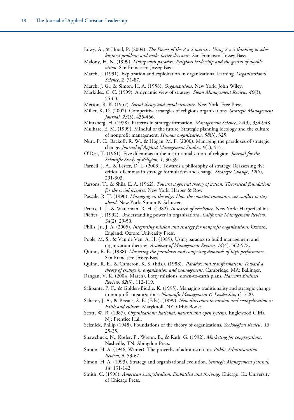Lowy, A., & Hood, P. (2004). *The Power of the 2 x 2 matrix : Using 2 x 2 thinking to solve business problems and make better decisions*. San Francisco: Jossey-Bass.

- Malony, H. N. (1999). *Living with paradox: Religious leadership and the genius of double vision*. San Francisco: Jossey-Bass.
- March, J. (1991). Exploration and exploitation in organizational learning. *Organizational Science, 2*, 71-87.
- March, J. G., & Simon, H. A. (1958). *Organizations*. New York: John Wiley.
- Markides, C. C. (1999). A dynamic view of strategy. *Sloan Management Review, 40*(3), 55-63.
- Merton, R. K. (1957). *Social theory and social structure*. New York: Free Press.
- Miller, K. D. (2002). Competitive strategies of religious organizations. *Strategic Management Journal, 23*(5), 435-456.
- Mintzberg, H. (1978). Patterns in strategy formation. *Management Science, 24*(9), 934-948.
- Mulhare, E. M. (1999). Mindful of the future: Strategic planning ideology and the culture of nonprofit management. *Human organization, 58*(3), 325.
- Nutt, P. C., Backoff, R. W., & Hogan, M. F. (2000). Managing the paradoxes of strategic change. *Journal of Applied Management Studies, 9*(1), 5-31.
- O'Dea, T. (1961). Five dilemmas in the institutionalization of religion. *Journal for the Scientific Study of Religion, 1*, 30-39.
- Parnell, J. A., & Lester, D. L. (2003). Towards a philosophy of strategy: Reassessing five critical dilemmas in strategy formulation and change. *Strategic Change, 12*(6), 291-303.
- Parsons, T., & Shils, E. A. (1962). *Toward a general theory of action: Theoretical foundations for the social sciences.* New York: Harper & Row.
- Pascale, R. T. (1990). *Managing on the edge: How the smartest companies use conflict to stay ahead*. New York: Simon & Schuster.
- Peters, T. J., & Waterman, R. H. (1982). *In search of excellence*. New York: HarperCollins.
- Pfeffer, J. (1992). Understanding power in organizations. *California Management Review, 34*(2), 29-50.
- Phills, Jr., J. A. (2005). *Integrating mission and strategy for nonprofit organizations*. Oxford, England: Oxford University Press.
- Poole, M. S., & Van de Ven, A. H. (1989). Using paradox to build management and organization theories. *Academy of Management Review, 14*(4), 562-578.
- Quinn, R. E. (1988). *Mastering the paradoxes and competing demands of high performance*. San Francisco: Jossey-Bass.
- Quinn, R. E., & Cameron, K. S. (Eds.). (1988). *Paradox and transformation: Toward a theory of change in organization and management*. Cambridge, MA: Ballinger.
- Rangan, V. K. (2004, March). Lofty missions, down-to-earth plans. *Harvard Business Review*, *82*(3), 112-119.
- Salipante, P. F., & Golden-Biddle, K. (1995). Managing traditionality and strategic change in nonprofit organizations. *Nonprofit Management & Leadership, 6*, 3-20.
- Scherer, J. A., & Bevans, S. B. (Eds.). (1999). *New directions in mission and evangelization 3: Faith and culture*. Maryknoll, NY: Orbis Books.
- Scott, W. R. (1987). *Organizations: Rational, natural and open systems*. Englewood Cliffs, NJ: Prentice Hall.
- Selznick, Philip (1948). Foundations of the theory of organizations. *Sociological Review, 13*, 25-35.
- Shawchuck, N., Kotler, P., Wrenn, B., & Rath, G. (1992). *Marketing for congregations*. Nashville, TN: Abingdon Press.
- Simon, H. A. (1946, Winter). The proverbs of administration. *Public Administration Review, 6*, 53-67.
- Simon, H. A. (1993). Strategy and organizational evolution. *Strategic Management Journal, 14*, 131-142.
- Smith, C. (1998). *American evangelicalism: Embattled and thriving*. Chicago, IL: University of Chicago Press.